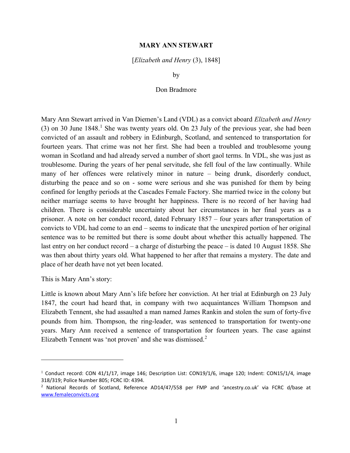## MARY ANN STEWART

[Elizabeth and Henry (3), 1848]

by

## Don Bradmore

Mary Ann Stewart arrived in Van Diemen's Land (VDL) as a convict aboard Elizabeth and Henry  $(3)$  on 30 June 1848.<sup>1</sup> She was twenty years old. On 23 July of the previous year, she had been convicted of an assault and robbery in Edinburgh, Scotland, and sentenced to transportation for fourteen years. That crime was not her first. She had been a troubled and troublesome young woman in Scotland and had already served a number of short gaol terms. In VDL, she was just as troublesome. During the years of her penal servitude, she fell foul of the law continually. While many of her offences were relatively minor in nature – being drunk, disorderly conduct, disturbing the peace and so on - some were serious and she was punished for them by being confined for lengthy periods at the Cascades Female Factory. She married twice in the colony but neither marriage seems to have brought her happiness. There is no record of her having had children. There is considerable uncertainty about her circumstances in her final years as a prisoner. A note on her conduct record, dated February 1857 – four years after transportation of convicts to VDL had come to an end – seems to indicate that the unexpired portion of her original sentence was to be remitted but there is some doubt about whether this actually happened. The last entry on her conduct record – a charge of disturbing the peace – is dated 10 August 1858. She was then about thirty years old. What happened to her after that remains a mystery. The date and place of her death have not yet been located.

This is Mary Ann's story:

 $\overline{a}$ 

Little is known about Mary Ann's life before her conviction. At her trial at Edinburgh on 23 July 1847, the court had heard that, in company with two acquaintances William Thompson and Elizabeth Tennent, she had assaulted a man named James Rankin and stolen the sum of forty-five pounds from him. Thompson, the ring-leader, was sentenced to transportation for twenty-one years. Mary Ann received a sentence of transportation for fourteen years. The case against Elizabeth Tennent was 'not proven' and she was dismissed. $2$ 

<sup>&</sup>lt;sup>1</sup> Conduct record: CON 41/1/17, image 146; Description List: CON19/1/6, image 120; Indent: CON15/1/4, image 318/319; Police Number 805; FCRC ID: 4394.

<sup>2</sup> National Records of Scotland, Reference AD14/47/558 per FMP and 'ancestry.co.uk' via FCRC d/base at www.femaleconvicts.org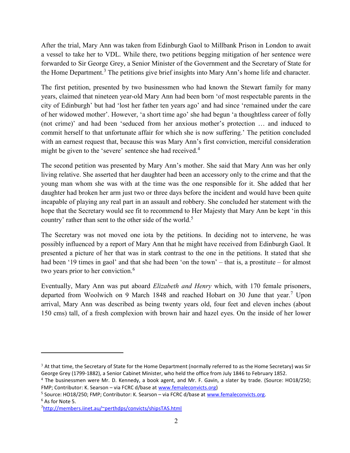After the trial, Mary Ann was taken from Edinburgh Gaol to Millbank Prison in London to await a vessel to take her to VDL. While there, two petitions begging mitigation of her sentence were forwarded to Sir George Grey, a Senior Minister of the Government and the Secretary of State for the Home Department.<sup>3</sup> The petitions give brief insights into Mary Ann's home life and character.

The first petition, presented by two businessmen who had known the Stewart family for many years, claimed that nineteen year-old Mary Ann had been born 'of most respectable parents in the city of Edinburgh' but had 'lost her father ten years ago' and had since 'remained under the care of her widowed mother'. However, 'a short time ago' she had begun 'a thoughtless career of folly (not crime)' and had been 'seduced from her anxious mother's protection … and induced to commit herself to that unfortunate affair for which she is now suffering.' The petition concluded with an earnest request that, because this was Mary Ann's first conviction, merciful consideration might be given to the 'severe' sentence she had received.<sup>4</sup>

The second petition was presented by Mary Ann's mother. She said that Mary Ann was her only living relative. She asserted that her daughter had been an accessory only to the crime and that the young man whom she was with at the time was the one responsible for it. She added that her daughter had broken her arm just two or three days before the incident and would have been quite incapable of playing any real part in an assault and robbery. She concluded her statement with the hope that the Secretary would see fit to recommend to Her Majesty that Mary Ann be kept 'in this country' rather than sent to the other side of the world.<sup>5</sup>

The Secretary was not moved one iota by the petitions. In deciding not to intervene, he was possibly influenced by a report of Mary Ann that he might have received from Edinburgh Gaol. It presented a picture of her that was in stark contrast to the one in the petitions. It stated that she had been '19 times in gaol' and that she had been 'on the town' – that is, a prostitute – for almost two years prior to her conviction.<sup>6</sup>

Eventually, Mary Ann was put aboard Elizabeth and Henry which, with 170 female prisoners, departed from Woolwich on 9 March 1848 and reached Hobart on 30 June that year.<sup>7</sup> Upon arrival, Mary Ann was described as being twenty years old, four feet and eleven inches (about 150 cms) tall, of a fresh complexion with brown hair and hazel eyes. On the inside of her lower

7http://members.iinet.au/~perthdps/convicts/shipsTAS.html

 $3$  At that time, the Secretary of State for the Home Department (normally referred to as the Home Secretary) was Sir George Grey (1799-1882), a Senior Cabinet Minister, who held the office from July 1846 to February 1852.

<sup>&</sup>lt;sup>4</sup> The businessmen were Mr. D. Kennedy, a book agent, and Mr. F. Gavin, a slater by trade. (Source: HO18/250; FMP; Contributor: K. Searson – via FCRC d/base at www.femaleconvicts.org)

<sup>&</sup>lt;sup>5</sup> Source: HO18/250; FMP; Contributor: K. Searson – via FCRC d/base at www.femaleconvicts.org.  $^6$  As for Note 5.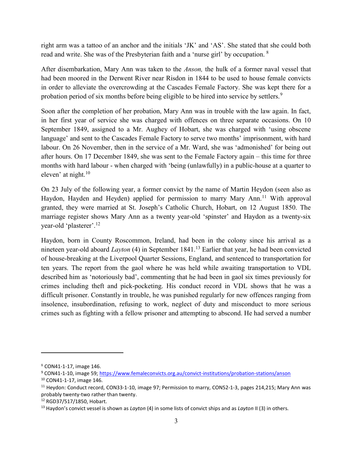right arm was a tattoo of an anchor and the initials 'JK' and 'AS'. She stated that she could both read and write. She was of the Presbyterian faith and a 'nurse girl' by occupation. <sup>8</sup>

After disembarkation, Mary Ann was taken to the Anson, the hulk of a former naval vessel that had been moored in the Derwent River near Risdon in 1844 to be used to house female convicts in order to alleviate the overcrowding at the Cascades Female Factory. She was kept there for a probation period of six months before being eligible to be hired into service by settlers.<sup>9</sup>

Soon after the completion of her probation, Mary Ann was in trouble with the law again. In fact, in her first year of service she was charged with offences on three separate occasions. On 10 September 1849, assigned to a Mr. Aughey of Hobart, she was charged with 'using obscene language' and sent to the Cascades Female Factory to serve two months' imprisonment, with hard labour. On 26 November, then in the service of a Mr. Ward, she was 'admonished' for being out after hours. On 17 December 1849, she was sent to the Female Factory again – this time for three months with hard labour - when charged with 'being (unlawfully) in a public-house at a quarter to eleven' at night. $10^{-10}$ 

On 23 July of the following year, a former convict by the name of Martin Heydon (seen also as Haydon, Hayden and Heyden) applied for permission to marry Mary Ann.<sup>11</sup> With approval granted, they were married at St. Joseph's Catholic Church, Hobart, on 12 August 1850. The marriage register shows Mary Ann as a twenty year-old 'spinster' and Haydon as a twenty-six year-old 'plasterer'.<sup>12</sup>

Haydon, born in County Roscommon, Ireland, had been in the colony since his arrival as a nineteen year-old aboard *Layton* (4) in September 1841.<sup>13</sup> Earlier that year, he had been convicted of house-breaking at the Liverpool Quarter Sessions, England, and sentenced to transportation for ten years. The report from the gaol where he was held while awaiting transportation to VDL described him as 'notoriously bad', commenting that he had been in gaol six times previously for crimes including theft and pick-pocketing. His conduct record in VDL shows that he was a difficult prisoner. Constantly in trouble, he was punished regularly for new offences ranging from insolence, insubordination, refusing to work, neglect of duty and misconduct to more serious crimes such as fighting with a fellow prisoner and attempting to abscond. He had served a number

<sup>8</sup> CON41-1-17, image 146.

<sup>&</sup>lt;sup>9</sup> CON41-1-10, image 59; https://www.femaleconvicts.org.au/convict-institutions/probation-stations/anson

<sup>10</sup> CON41-1-17, image 146.

<sup>&</sup>lt;sup>11</sup> Heydon: Conduct record, CON33-1-10, image 97; Permission to marry, CON52-1-3, pages 214,215; Mary Ann was probably twenty-two rather than twenty.

<sup>12</sup> RGD37/517/1850, Hobart.

<sup>&</sup>lt;sup>13</sup> Haydon's convict vessel is shown as *Layton* (4) in some lists of convict ships and as *Layton* II (3) in others.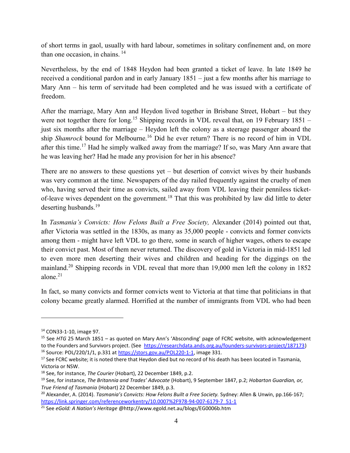of short terms in gaol, usually with hard labour, sometimes in solitary confinement and, on more than one occasion, in chains.  $14$ 

Nevertheless, by the end of 1848 Heydon had been granted a ticket of leave. In late 1849 he received a conditional pardon and in early January 1851 – just a few months after his marriage to Mary Ann – his term of servitude had been completed and he was issued with a certificate of freedom.

After the marriage, Mary Ann and Heydon lived together in Brisbane Street, Hobart – but they were not together there for long.<sup>15</sup> Shipping records in VDL reveal that, on 19 February 1851 – just six months after the marriage – Heydon left the colony as a steerage passenger aboard the ship Shamrock bound for Melbourne.<sup>16</sup> Did he ever return? There is no record of him in VDL after this time.<sup>17</sup> Had he simply walked away from the marriage? If so, was Mary Ann aware that he was leaving her? Had he made any provision for her in his absence?

There are no answers to these questions yet – but desertion of convict wives by their husbands was very common at the time. Newspapers of the day railed frequently against the cruelty of men who, having served their time as convicts, sailed away from VDL leaving their penniless ticketof-leave wives dependent on the government.<sup>18</sup> That this was prohibited by law did little to deter deserting husbands.<sup>19</sup>

In Tasmania's Convicts: How Felons Built a Free Society, Alexander (2014) pointed out that, after Victoria was settled in the 1830s, as many as 35,000 people - convicts and former convicts among them - might have left VDL to go there, some in search of higher wages, others to escape their convict past. Most of them never returned. The discovery of gold in Victoria in mid-1851 led to even more men deserting their wives and children and heading for the diggings on the mainland.<sup>20</sup> Shipping records in VDL reveal that more than 19,000 men left the colony in 1852 alone.<sup>21</sup>

In fact, so many convicts and former convicts went to Victoria at that time that politicians in that colony became greatly alarmed. Horrified at the number of immigrants from VDL who had been

<sup>14</sup> CON33-1-10, image 97.

<sup>&</sup>lt;sup>15</sup> See HTG 25 March 1851 – as quoted on Mary Ann's 'Absconding' page of FCRC website, with acknowledgement to the Founders and Survivors project. (See https://researchdata.ands.org.au/founders-survivors-project/187173) <sup>16</sup> Source: POL/220/1/1, p.331 at https://stors.gov.au/POL220-1-1, image 331.

<sup>&</sup>lt;sup>17</sup> See FCRC website; it is noted there that Heydon died but no record of his death has been located in Tasmania, Victoria or NSW.

<sup>&</sup>lt;sup>18</sup> See, for instance, The Courier (Hobart), 22 December 1849, p.2.

<sup>&</sup>lt;sup>19</sup> See, for instance, The Britannia and Trades' Advocate (Hobart), 9 September 1847, p.2; Hobarton Guardian, or, True Friend of Tasmania (Hobart) 22 December 1849, p.3.

<sup>&</sup>lt;sup>20</sup> Alexander, A. (2014). Tasmania's Convicts: How Felons Built a Free Society. Sydney: Allen & Unwin, pp.166-167; https://link.springer.com/referenceworkentry/10.0007%2F978-94-007-6179-7\_51-1

<sup>&</sup>lt;sup>21</sup> See eGold: A Nation's Heritage @http://www.egold.net.au/blogs/EG0006b.htm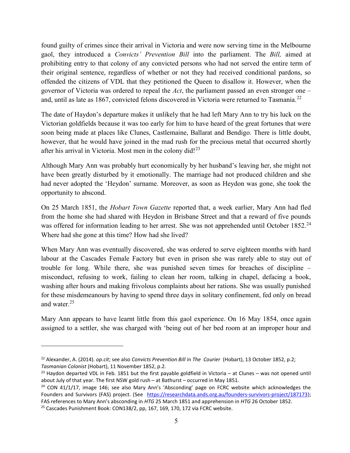found guilty of crimes since their arrival in Victoria and were now serving time in the Melbourne gaol, they introduced a Convicts' Prevention Bill into the parliament. The Bill, aimed at prohibiting entry to that colony of any convicted persons who had not served the entire term of their original sentence, regardless of whether or not they had received conditional pardons, so offended the citizens of VDL that they petitioned the Queen to disallow it. However, when the governor of Victoria was ordered to repeal the Act, the parliament passed an even stronger one – and, until as late as 1867, convicted felons discovered in Victoria were returned to Tasmania.<sup>22</sup>

The date of Haydon's departure makes it unlikely that he had left Mary Ann to try his luck on the Victorian goldfields because it was too early for him to have heard of the great fortunes that were soon being made at places like Clunes, Castlemaine, Ballarat and Bendigo. There is little doubt, however, that he would have joined in the mad rush for the precious metal that occurred shortly after his arrival in Victoria. Most men in the colony did!<sup>23</sup>

Although Mary Ann was probably hurt economically by her husband's leaving her, she might not have been greatly disturbed by it emotionally. The marriage had not produced children and she had never adopted the 'Heydon' surname. Moreover, as soon as Heydon was gone, she took the opportunity to abscond.

On 25 March 1851, the Hobart Town Gazette reported that, a week earlier, Mary Ann had fled from the home she had shared with Heydon in Brisbane Street and that a reward of five pounds was offered for information leading to her arrest. She was not apprehended until October 1852.<sup>24</sup> Where had she gone at this time? How had she lived?

When Mary Ann was eventually discovered, she was ordered to serve eighteen months with hard labour at the Cascades Female Factory but even in prison she was rarely able to stay out of trouble for long. While there, she was punished seven times for breaches of discipline – misconduct, refusing to work, failing to clean her room, talking in chapel, defacing a book, washing after hours and making frivolous complaints about her rations. She was usually punished for these misdemeanours by having to spend three days in solitary confinement, fed only on bread and water.<sup>25</sup>

Mary Ann appears to have learnt little from this gaol experience. On 16 May 1854, once again assigned to a settler, she was charged with 'being out of her bed room at an improper hour and

<sup>&</sup>lt;sup>22</sup> Alexander, A. (2014). op.cit; see also Convicts Prevention Bill in The Courier (Hobart), 13 October 1852, p.2; Tasmanian Colonist (Hobart), 11 November 1852, p.2.

 $^{23}$  Haydon departed VDL in Feb. 1851 but the first payable goldfield in Victoria – at Clunes – was not opened until about July of that year. The first NSW gold rush – at Bathurst – occurred in May 1851.

 $24$  CON 41/1/17, image 146; see also Mary Ann's 'Absconding' page on FCRC website which acknowledges the Founders and Survivors (FAS) project. (See https://researchdata.ands.org.au/founders-survivors-project/187173); FAS references to Mary Ann's absconding in HTG 25 March 1851 and apprehension in HTG 26 October 1852.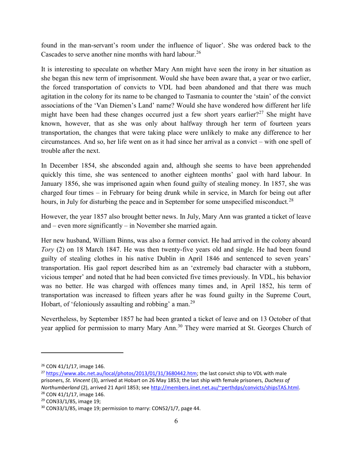found in the man-servant's room under the influence of liquor'. She was ordered back to the Cascades to serve another nine months with hard labour.<sup>26</sup>

It is interesting to speculate on whether Mary Ann might have seen the irony in her situation as she began this new term of imprisonment. Would she have been aware that, a year or two earlier, the forced transportation of convicts to VDL had been abandoned and that there was much agitation in the colony for its name to be changed to Tasmania to counter the 'stain' of the convict associations of the 'Van Diemen's Land' name? Would she have wondered how different her life might have been had these changes occurred just a few short years earlier?<sup>27</sup> She might have known, however, that as she was only about halfway through her term of fourteen years transportation, the changes that were taking place were unlikely to make any difference to her circumstances. And so, her life went on as it had since her arrival as a convict – with one spell of trouble after the next.

In December 1854, she absconded again and, although she seems to have been apprehended quickly this time, she was sentenced to another eighteen months' gaol with hard labour. In January 1856, she was imprisoned again when found guilty of stealing money. In 1857, she was charged four times – in February for being drunk while in service, in March for being out after hours, in July for disturbing the peace and in September for some unspecified misconduct.<sup>28</sup>

However, the year 1857 also brought better news. In July, Mary Ann was granted a ticket of leave and – even more significantly – in November she married again.

Her new husband, William Binns, was also a former convict. He had arrived in the colony aboard Tory (2) on 18 March 1847. He was then twenty-five years old and single. He had been found guilty of stealing clothes in his native Dublin in April 1846 and sentenced to seven years' transportation. His gaol report described him as an 'extremely bad character with a stubborn, vicious temper' and noted that he had been convicted five times previously. In VDL, his behavior was no better. He was charged with offences many times and, in April 1852, his term of transportation was increased to fifteen years after he was found guilty in the Supreme Court, Hobart, of 'feloniously assaulting and robbing' a man.<sup>29</sup>

Nevertheless, by September 1857 he had been granted a ticket of leave and on 13 October of that year applied for permission to marry Mary Ann.<sup>30</sup> They were married at St. Georges Church of

<sup>26</sup> CON 41/1/17, image 146.

<sup>&</sup>lt;sup>27</sup> https://www.abc.net.au/local/photos/2013/01/31/3680442.htm; the last convict ship to VDL with male prisoners, St. Vincent (3), arrived at Hobart on 26 May 1853; the last ship with female prisoners, Duchess of Northumberland (2), arrived 21 April 1853; see http://members.iinet.net.au/~perthdps/convicts/shipsTAS.html. <sup>28</sup> CON 41/1/17, image 146.

<sup>29</sup> CON33/1/85, image 19;

<sup>&</sup>lt;sup>30</sup> CON33/1/85, image 19; permission to marry: CON52/1/7, page 44.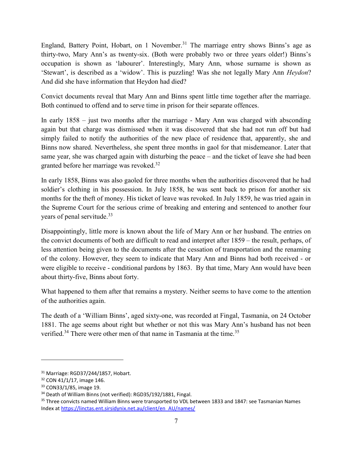England, Battery Point, Hobart, on 1 November.<sup>31</sup> The marriage entry shows Binns's age as thirty-two, Mary Ann's as twenty-six. (Both were probably two or three years older!) Binns's occupation is shown as 'labourer'. Interestingly, Mary Ann, whose surname is shown as 'Stewart', is described as a 'widow'. This is puzzling! Was she not legally Mary Ann Heydon? And did she have information that Heydon had died?

Convict documents reveal that Mary Ann and Binns spent little time together after the marriage. Both continued to offend and to serve time in prison for their separate offences.

In early 1858 – just two months after the marriage - Mary Ann was charged with absconding again but that charge was dismissed when it was discovered that she had not run off but had simply failed to notify the authorities of the new place of residence that, apparently, she and Binns now shared. Nevertheless, she spent three months in gaol for that misdemeanor. Later that same year, she was charged again with disturbing the peace – and the ticket of leave she had been granted before her marriage was revoked.<sup>32</sup>

In early 1858, Binns was also gaoled for three months when the authorities discovered that he had soldier's clothing in his possession. In July 1858, he was sent back to prison for another six months for the theft of money. His ticket of leave was revoked. In July 1859, he was tried again in the Supreme Court for the serious crime of breaking and entering and sentenced to another four years of penal servitude.<sup>33</sup>

Disappointingly, little more is known about the life of Mary Ann or her husband. The entries on the convict documents of both are difficult to read and interpret after 1859 – the result, perhaps, of less attention being given to the documents after the cessation of transportation and the renaming of the colony. However, they seem to indicate that Mary Ann and Binns had both received - or were eligible to receive - conditional pardons by 1863. By that time, Mary Ann would have been about thirty-five, Binns about forty.

What happened to them after that remains a mystery. Neither seems to have come to the attention of the authorities again.

The death of a 'William Binns', aged sixty-one, was recorded at Fingal, Tasmania, on 24 October 1881. The age seems about right but whether or not this was Mary Ann's husband has not been verified.<sup>34</sup> There were other men of that name in Tasmania at the time.<sup>35</sup>

<sup>31</sup> Marriage: RGD37/244/1857, Hobart.

<sup>32</sup> CON 41/1/17, image 146.

<sup>33</sup> CON33/1/85, image 19.

<sup>&</sup>lt;sup>34</sup> Death of William Binns (not verified): RGD35/192/1881, Fingal.

<sup>35</sup> Three convicts named William Binns were transported to VDL between 1833 and 1847: see Tasmanian Names Index at https://linctas.ent.sirsidynix.net.au/client/en\_AU/names/